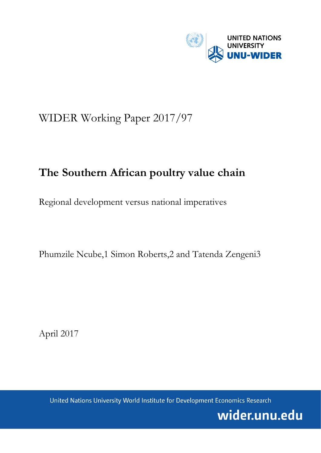

# WIDER Working Paper 2017/97

# **The Southern African poultry value chain**

Regional development versus national imperatives

Phumzile Ncube,1 Simon Roberts,2 and Tatenda Zengeni3

April 2017

United Nations University World Institute for Development Economics Research

wider.unu.edu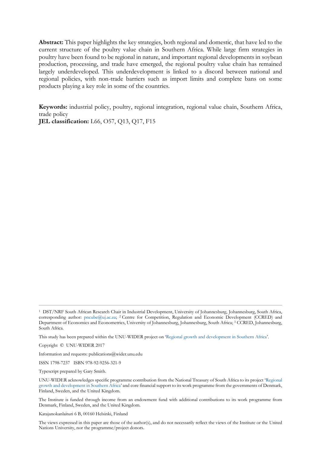**Abstract:** This paper highlights the key strategies, both regional and domestic, that have led to the current structure of the poultry value chain in Southern Africa. While large firm strategies in poultry have been found to be regional in nature, and important regional developments in soybean production, processing, and trade have emerged, the regional poultry value chain has remained largely underdeveloped. This underdevelopment is linked to a discord between national and regional policies, with non-trade barriers such as import limits and complete bans on some products playing a key role in some of the countries.

**Keywords:** industrial policy, poultry, regional integration, regional value chain, Southern Africa, trade policy **JEL classification:** L66, O57, Q13, Q17, F15

This study has been prepared within the UNU-WIDER project on '[Regional growth and development in Southern Africa](https://www.wider.unu.edu/node/381)'.

Copyright © UNU-WIDER 2017

Information and requests: publications@wider.unu.edu

ISSN 1798-7237 ISBN 978-92-9256-321-9

Typescript prepared by Gary Smith.

The Institute is funded through income from an endowment fund with additional contributions to its work programme from Denmark, Finland, Sweden, and the United Kingdom.

Katajanokanlaituri 6 B, 00160 Helsinki, Finland

The views expressed in this paper are those of the author(s), and do not necessarily reflect the views of the Institute or the United Nations University, nor the programme/project donors.

<sup>1</sup> DST/NRF South African Research Chair in Industrial Development, University of Johannesburg, Johannesburg, South Africa, corresponding author: pncube@uj.ac.za; <sup>2</sup> Centre for Competition, Regulation and Economic Development (CCRED) and Department of Economics and Econometrics, University of Johannesburg, Johannesburg, South Africa; <sup>3</sup> CCRED, Johannesburg, South Africa.

UNU-WIDER acknowledges specific programme contribution from the National Treasury of South Africa to its project '[Regional](https://www.wider.unu.edu/node/381)  [growth and development in Southern Africa](https://www.wider.unu.edu/node/381)' and core financial support to its work programme from the governments of Denmark, Finland, Sweden, and the United Kingdom.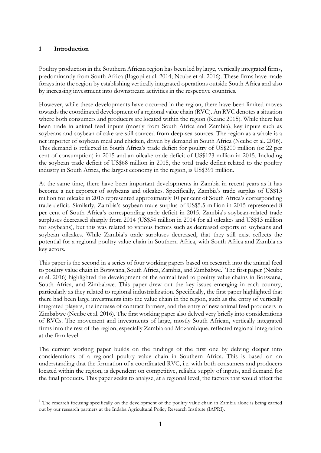# **1 Introduction**

<u>.</u>

Poultry production in the Southern African region has been led by large, vertically integrated firms, predominantly from South Africa (Bagopi et al. 2014; Ncube et al. 2016). These firms have made forays into the region by establishing vertically integrated operations outside South Africa and also by increasing investment into downstream activities in the respective countries.

However, while these developments have occurred in the region, there have been limited moves towards the coordinated development of a regional value chain (RVC). An RVC denotes a situation where both consumers and producers are located within the region (Keane 2015). While there has been trade in animal feed inputs (mostly from South Africa and Zambia), key inputs such as soybeans and soybean oilcake are still sourced from deep-sea sources. The region as a whole is a net importer of soybean meal and chicken, driven by demand in South Africa (Ncube et al. 2016). This demand is reflected in South Africa's trade deficit for poultry of US\$200 million (or 22 per cent of consumption) in 2015 and an oilcake trade deficit of US\$123 million in 2015. Including the soybean trade deficit of US\$68 million in 2015, the total trade deficit related to the poultry industry in South Africa, the largest economy in the region, is US\$391 million.

At the same time, there have been important developments in Zambia in recent years as it has become a net exporter of soybeans and oilcakes. Specifically, Zambia's trade surplus of US\$13 million for oilcake in 2015 represented approximately 10 per cent of South Africa's corresponding trade deficit. Similarly, Zambia's soybean trade surplus of US\$5.5 million in 2015 represented 8 per cent of South Africa's corresponding trade deficit in 2015. Zambia's soybean-related trade surpluses decreased sharply from 2014 (US\$54 million in 2014 for all oilcakes and US\$13 million for soybeans), but this was related to various factors such as decreased exports of soybeans and soybean oilcakes. While Zambia's trade surpluses decreased, that they still exist reflects the potential for a regional poultry value chain in Southern Africa, with South Africa and Zambia as key actors.

This paper is the second in a series of four working papers based on research into the animal feed to poultry value chain in Botswana, South Africa, Zambia, and Zimbabwe.<sup>1</sup> The first paper (Ncube et al. 2016) highlighted the development of the animal feed to poultry value chains in Botswana, South Africa, and Zimbabwe. This paper drew out the key issues emerging in each country, particularly as they related to regional industrialization. Specifically, the first paper highlighted that there had been large investments into the value chain in the region, such as the entry of vertically integrated players, the increase of contract farmers, and the entry of new animal feed producers in Zimbabwe (Ncube et al. 2016). The first working paper also delved very briefly into considerations of RVCs. The movement and investments of large, mostly South African, vertically integrated firms into the rest of the region, especially Zambia and Mozambique, reflected regional integration at the firm level.

The current working paper builds on the findings of the first one by delving deeper into considerations of a regional poultry value chain in Southern Africa. This is based on an understanding that the formation of a coordinated RVC, i.e. with both consumers and producers located within the region, is dependent on competitive, reliable supply of inputs, and demand for the final products. This paper seeks to analyse, at a regional level, the factors that would affect the

<sup>&</sup>lt;sup>1</sup> The research focusing specifically on the development of the poultry value chain in Zambia alone is being carried out by our research partners at the Indaba Agricultural Policy Research Institute (IAPRI).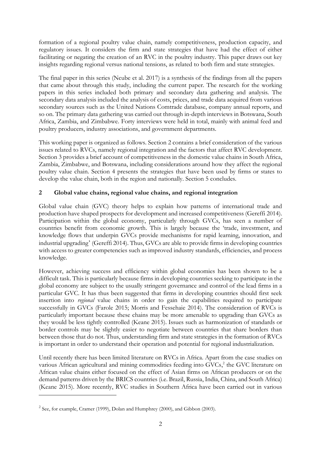formation of a regional poultry value chain, namely competitiveness, production capacity, and regulatory issues. It considers the firm and state strategies that have had the effect of either facilitating or negating the creation of an RVC in the poultry industry. This paper draws out key insights regarding regional versus national tensions, as related to both firm and state strategies.

The final paper in this series (Ncube et al. 2017) is a synthesis of the findings from all the papers that came about through this study, including the current paper. The research for the working papers in this series included both primary and secondary data gathering and analysis. The secondary data analysis included the analysis of costs, prices, and trade data acquired from various secondary sources such as the United Nations Comtrade database, company annual reports, and so on. The primary data gathering was carried out through in-depth interviews in Botswana, South Africa, Zambia, and Zimbabwe. Forty interviews were held in total, mainly with animal feed and poultry producers, industry associations, and government departments.

This working paper is organized as follows. Section 2 contains a brief consideration of the various issues related to RVCs, namely regional integration and the factors that affect RVC development. Section 3 provides a brief account of competitiveness in the domestic value chains in South Africa, Zambia, Zimbabwe, and Botswana, including considerations around how they affect the regional poultry value chain. Section 4 presents the strategies that have been used by firms or states to develop the value chain, both in the region and nationally. Section 5 concludes.

# **2 Global value chains, regional value chains, and regional integration**

Global value chain (GVC) theory helps to explain how patterns of international trade and production have shaped prospects for development and increased competitiveness (Gereffi 2014). Participation within the global economy, particularly through GVCs, has seen a number of countries benefit from economic growth. This is largely because the 'trade, investment, and knowledge flows that underpin GVCs provide mechanisms for rapid learning, innovation, and industrial upgrading' (Gereffi 2014). Thus, GVCs are able to provide firms in developing countries with access to greater competencies such as improved industry standards, efficiencies, and process knowledge.

However, achieving success and efficiency within global economies has been shown to be a difficult task. This is particularly because firms in developing countries seeking to participate in the global economy are subject to the usually stringent governance and control of the lead firms in a particular GVC. It has thus been suggested that firms in developing countries should first seek insertion into *regional* value chains in order to gain the capabilities required to participate successfully in GVCs (Farole 2015; Morris and Fessehaie 2014). The consideration of RVCs is particularly important because these chains may be more amenable to upgrading than GVCs as they would be less tightly controlled (Keane 2015). Issues such as harmonization of standards or border controls may be slightly easier to negotiate between countries that share borders than between those that do not. Thus, understanding firm and state strategies in the formation of RVCs is important in order to understand their operation and potential for regional industrialization.

Until recently there has been limited literature on RVCs in Africa. Apart from the case studies on various African agricultural and mining commodities feeding into GVCs,<sup>2</sup> the GVC literature on African value chains either focused on the effect of Asian firms on African producers or on the demand patterns driven by the BRICS countries (i.e. Brazil, Russia, India, China, and South Africa) (Keane 2015). More recently, RVC studies in Southern Africa have been carried out in various

 $2^{2}$  See, for example, Cramer (1999), Dolan and Humphrey (2000), and Gibbon (2003).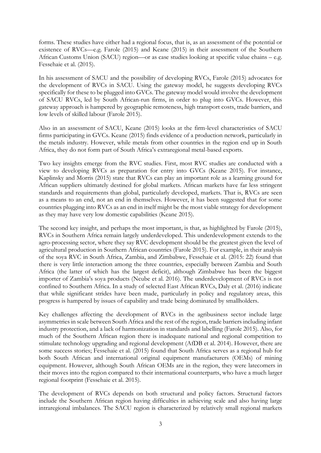forms. These studies have either had a regional focus, that is, as an assessment of the potential or existence of RVCs—e.g. Farole (2015) and Keane (2015) in their assessment of the Southern African Customs Union (SACU) region—or as case studies looking at specific value chains – e.g. Fessehaie et al. (2015).

In his assessment of SACU and the possibility of developing RVCs, Farole (2015) advocates for the development of RVCs in SACU. Using the gateway model, he suggests developing RVCs specifically for these to be plugged into GVCs. The gateway model would involve the development of SACU RVCs, led by South African-run firms, in order to plug into GVCs. However, this gateway approach is hampered by geographic remoteness, high transport costs, trade barriers, and low levels of skilled labour (Farole 2015).

Also in an assessment of SACU, Keane (2015) looks at the firm-level characteristics of SACU firms participating in GVCs. Keane (2015) finds evidence of a production network, particularly in the metals industry. However, while metals from other countries in the region end up in South Africa, they do not form part of South Africa's extraregional metal-based exports.

Two key insights emerge from the RVC studies. First, most RVC studies are conducted with a view to developing RVCs as preparation for entry into GVCs (Keane 2015). For instance, Kaplinsky and Morris (2015) state that RVCs can play an important role as a learning ground for African suppliers ultimately destined for global markets. African markets have far less stringent standards and requirements than global, particularly developed, markets. That is, RVCs are seen as a means to an end, not an end in themselves. However, it has been suggested that for some countries plugging into RVCs as an end in itself might be the most viable strategy for development as they may have very low domestic capabilities (Keane 2015).

The second key insight, and perhaps the most important, is that, as highlighted by Farole (2015), RVCs in Southern Africa remain largely underdeveloped. This underdevelopment extends to the agro-processing sector, where they say RVC development should be the greatest given the level of agricultural production in Southern African countries (Farole 2015). For example, in their analysis of the soya RVC in South Africa, Zambia, and Zimbabwe, Fessehaie et al. (2015: 22) found that there is very little interaction among the three countries, especially between Zambia and South Africa (the latter of which has the largest deficit), although Zimbabwe has been the biggest importer of Zambia's soya products (Ncube et al. 2016). The underdevelopment of RVCs is not confined to Southern Africa. In a study of selected East African RVCs, Daly et al. (2016) indicate that while significant strides have been made, particularly in policy and regulatory areas, this progress is hampered by issues of capability and trade being dominated by smallholders.

Key challenges affecting the development of RVCs in the agribusiness sector include large asymmetries in scale between South Africa and the rest of the region, trade barriers including infant industry protection, and a lack of harmonization in standards and labelling (Farole 2015). Also, for much of the Southern African region there is inadequate national and regional competition to stimulate technology upgrading and regional development (AfDB et al. 2014). However, there are some success stories; Fessehaie et al. (2015) found that South Africa serves as a regional hub for both South African and international original equipment manufacturers (OEMs) of mining equipment. However, although South African OEMs are in the region, they were latecomers in their moves into the region compared to their international counterparts, who have a much larger regional footprint (Fessehaie et al. 2015).

The development of RVCs depends on both structural and policy factors. Structural factors include the Southern African region having difficulties in achieving scale and also having large intraregional imbalances. The SACU region is characterized by relatively small regional markets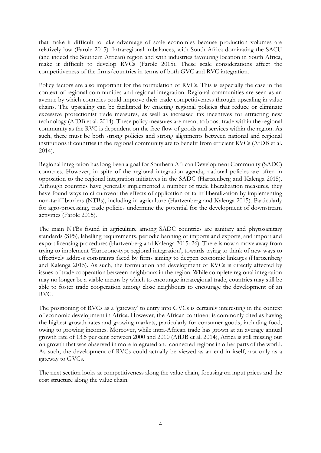that make it difficult to take advantage of scale economies because production volumes are relatively low (Farole 2015). Intraregional imbalances, with South Africa dominating the SACU (and indeed the Southern African) region and with industries favouring location in South Africa, make it difficult to develop RVCs (Farole 2015). These scale considerations affect the competitiveness of the firms/countries in terms of both GVC and RVC integration.

Policy factors are also important for the formulation of RVCs. This is especially the case in the context of regional communities and regional integration. Regional communities are seen as an avenue by which countries could improve their trade competitiveness through upscaling in value chains. The upscaling can be facilitated by enacting regional policies that reduce or eliminate excessive protectionist trade measures, as well as increased tax incentives for attracting new technology (AfDB et al. 2014). These policy measures are meant to boost trade within the regional community as the RVC is dependent on the free flow of goods and services within the region. As such, there must be both strong policies and strong alignments between national and regional institutions if countries in the regional community are to benefit from efficient RVCs (AfDB et al. 2014).

Regional integration has long been a goal for Southern African Development Community (SADC) countries. However, in spite of the regional integration agenda, national policies are often in opposition to the regional integration initiatives in the SADC (Hartzenberg and Kalenga 2015). Although countries have generally implemented a number of trade liberalization measures, they have found ways to circumvent the effects of application of tariff liberalization by implementing non-tariff barriers (NTBs), including in agriculture (Hartzenberg and Kalenga 2015). Particularly for agro-processing, trade policies undermine the potential for the development of downstream activities (Farole 2015).

The main NTBs found in agriculture among SADC countries are sanitary and phytosanitary standards (SPS), labelling requirements, periodic banning of imports and exports, and import and export licensing procedures (Hartzenberg and Kalenga 2015: 26). There is now a move away from trying to implement 'Eurozone-type regional integration', towards trying to think of new ways to effectively address constraints faced by firms aiming to deepen economic linkages (Hartzenberg and Kalenga 2015). As such, the formulation and development of RVCs is directly affected by issues of trade cooperation between neighbours in the region. While complete regional integration may no longer be a viable means by which to encourage intraregional trade, countries may still be able to foster trade cooperation among close neighbours to encourage the development of an RVC.

The positioning of RVCs as a 'gateway' to entry into GVCs is certainly interesting in the context of economic development in Africa. However, the African continent is commonly cited as having the highest growth rates and growing markets, particularly for consumer goods, including food, owing to growing incomes. Moreover, while intra-African trade has grown at an average annual growth rate of 13.5 per cent between 2000 and 2010 (AfDB et al. 2014), Africa is still missing out on growth that was observed in more integrated and connected regions in other parts of the world. As such, the development of RVCs could actually be viewed as an end in itself, not only as a gateway to GVCs.

The next section looks at competitiveness along the value chain, focusing on input prices and the cost structure along the value chain.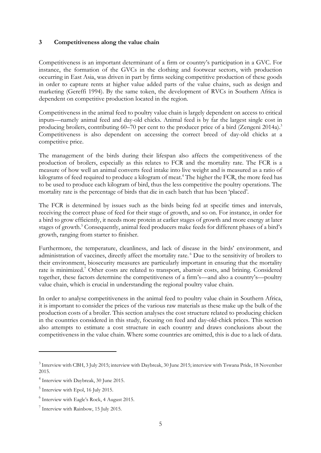## **3 Competitiveness along the value chain**

Competitiveness is an important determinant of a firm or country's participation in a GVC. For instance, the formation of the GVCs in the clothing and footwear sectors, with production occurring in East Asia, was driven in part by firms seeking competitive production of these goods in order to capture rents at higher value added parts of the value chains, such as design and marketing (Gereffi 1994). By the same token, the development of RVCs in Southern Africa is dependent on competitive production located in the region.

Competitiveness in the animal feed to poultry value chain is largely dependent on access to critical inputs—namely animal feed and day-old chicks. Animal feed is by far the largest single cost in producing broilers, contributing 60–70 per cent to the producer price of a bird (Zengeni 2014a).<sup>3</sup> Competitiveness is also dependent on accessing the correct breed of day-old chicks at a competitive price.

The management of the birds during their lifespan also affects the competitiveness of the production of broilers, especially as this relates to FCR and the mortality rate. The FCR is a measure of how well an animal converts feed intake into live weight and is measured as a ratio of kilograms of feed required to produce a kilogram of meat.<sup>4</sup> The higher the FCR, the more feed has to be used to produce each kilogram of bird, thus the less competitive the poultry operations. The mortality rate is the percentage of birds that die in each batch that has been 'placed'.

The FCR is determined by issues such as the birds being fed at specific times and intervals, receiving the correct phase of feed for their stage of growth, and so on. For instance, in order for a bird to grow efficiently, it needs more protein at earlier stages of growth and more energy at later stages of growth.<sup>5</sup> Consequently, animal feed producers make feeds for different phases of a bird's growth, ranging from starter to finisher.

Furthermore, the temperature, cleanliness, and lack of disease in the birds' environment, and administration of vaccines, directly affect the mortality rate. <sup>6</sup> Due to the sensitivity of broilers to their environment, biosecurity measures are particularly important in ensuring that the mortality rate is minimized.<sup>7</sup> Other costs are related to transport, abattoir costs, and brining. Considered together, these factors determine the competitiveness of a firm's—and also a country's—poultry value chain, which is crucial in understanding the regional poultry value chain.

In order to analyse competitiveness in the animal feed to poultry value chain in Southern Africa, it is important to consider the prices of the various raw materials as these make up the bulk of the production costs of a broiler. This section analyses the cost structure related to producing chicken in the countries considered in this study, focusing on feed and day-old-chick prices. This section also attempts to estimate a cost structure in each country and draws conclusions about the competitiveness in the value chain. Where some countries are omitted, this is due to a lack of data.

<sup>&</sup>lt;sup>3</sup> Interview with CBH, 3 July 2015; interview with Daybreak, 30 June 2015; interview with Tswana Pride, 18 November 2015.

<sup>4</sup> Interview with Daybreak, 30 June 2015.

<sup>&</sup>lt;sup>5</sup> Interview with Epol, 16 July 2015.

<sup>&</sup>lt;sup>6</sup> Interview with Eagle's Rock, 4 August 2015.

<sup>7</sup> Interview with Rainbow, 15 July 2015.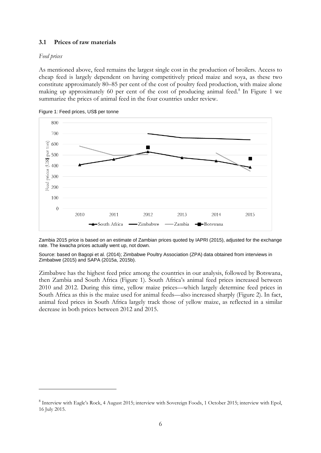## **3.1 Prices of raw materials**

## *Feed prices*

<u>.</u>

As mentioned above, feed remains the largest single cost in the production of broilers. Access to cheap feed is largely dependent on having competitively priced maize and soya, as these two constitute approximately 80–85 per cent of the cost of poultry feed production, with maize alone making up approximately 60 per cent of the cost of producing animal feed.<sup>8</sup> In Figure 1 we summarize the prices of animal feed in the four countries under review.



Figure 1: Feed prices, US\$ per tonne

Zambia 2015 price is based on an estimate of Zambian prices quoted by IAPRI (2015), adjusted for the exchange rate. The kwacha prices actually went up, not down.

Source: based on Bagopi et al. (2014); Zimbabwe Poultry Association (ZPA) data obtained from interviews in Zimbabwe (2015) and SAPA (2015a, 2015b).

Zimbabwe has the highest feed price among the countries in our analysis, followed by Botswana, then Zambia and South Africa (Figure 1). South Africa's animal feed prices increased between 2010 and 2012. During this time, yellow maize prices—which largely determine feed prices in South Africa as this is the maize used for animal feeds—also increased sharply (Figure 2). In fact, animal feed prices in South Africa largely track those of yellow maize, as reflected in a similar decrease in both prices between 2012 and 2015.

<sup>&</sup>lt;sup>8</sup> Interview with Eagle's Rock, 4 August 2015; interview with Sovereign Foods, 1 October 2015; interview with Epol, 16 July 2015.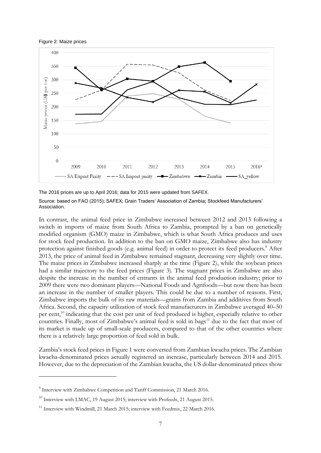



The 2016 prices are up to April 2016; data for 2015 were updated from SAFEX.

Source: based on FAO (2015); SAFEX; Grain Traders' Association of Zambia; Stockfeed Manufacturers' Association.

In contrast, the animal feed price in Zimbabwe increased between 2012 and 2013 following a switch in imports of maize from South Africa to Zambia, prompted by a ban on genetically modified organism (GMO) maize in Zimbabwe, which is what South Africa produces and uses for stock feed production. In addition to the ban on GMO maize, Zimbabwe also has industry protection against finished goods (e.g. animal feed) in order to protect its feed producers.<sup>9</sup> After 2013, the price of animal feed in Zimbabwe remained stagnant, decreasing very slightly over time. The maize prices in Zimbabwe increased sharply at the time (Figure 2), while the soybean prices had a similar trajectory to the feed prices (Figure 3). The stagnant prices in Zimbabwe are also despite the increase in the number of entrants in the animal feed production industry; prior to 2009 there were two dominant players—National Foods and Agrifoods—but now there has been an increase in the number of smaller players. This could be due to a number of reasons. First, Zimbabwe imports the bulk of its raw materials—grains from Zambia and additives from South Africa. Second, the capacity utilization of stock feed manufacturers in Zimbabwe averaged 40–50 per cent,<sup>10</sup> indicating that the cost per unit of feed produced is higher, especially relative to other countries. Finally, most of Zimbabwe's animal feed is sold in bags<sup>11</sup> due to the fact that most of its market is made up of small-scale producers, compared to that of the other countries where there is a relatively large proportion of feed sold in bulk.

Zambia's stock feed prices in Figure 1 were converted from Zambian kwacha prices. The Zambian kwacha-denominated prices actually registered an increase, particularly between 2014 and 2015. However, due to the depreciation of the Zambian kwacha, the US dollar-denominated prices show

-

<sup>&</sup>lt;sup>9</sup> Interview with Zimbabwe Competition and Tariff Commission, 21 March 2016.

 $10$  Interview with LMAC, 19 August 2015; interview with Profeeds, 21 August 2015.

<sup>&</sup>lt;sup>11</sup> Interview with Windmill, 21 March 2015; interview with Feedmix, 22 March 2016.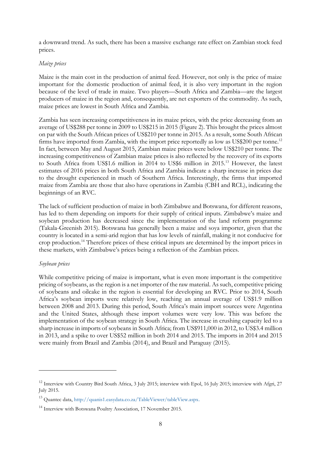a downward trend. As such, there has been a massive exchange rate effect on Zambian stock feed prices.

## *Maize prices*

Maize is the main cost in the production of animal feed. However, not only is the price of maize important for the domestic production of animal feed, it is also very important in the region because of the level of trade in maize. Two players—South Africa and Zambia—are the largest producers of maize in the region and, consequently, are net exporters of the commodity. As such, maize prices are lowest in South Africa and Zambia.

Zambia has seen increasing competitiveness in its maize prices, with the price decreasing from an average of US\$288 per tonne in 2009 to US\$215 in 2015 (Figure 2). This brought the prices almost on par with the South African prices of US\$210 per tonne in 2015. As a result, some South African firms have imported from Zambia, with the import price reportedly as low as US\$200 per tonne.<sup>12</sup> In fact, between May and August 2015, Zambian maize prices were below US\$210 per tonne. The increasing competitiveness of Zambian maize prices is also reflected by the recovery of its exports to South Africa from US\$1.6 million in 2014 to US\$6 million in 2015.<sup>13</sup> However, the latest estimates of 2016 prices in both South Africa and Zambia indicate a sharp increase in prices due to the drought experienced in much of Southern Africa. Interestingly, the firms that imported maize from Zambia are those that also have operations in Zambia (CBH and RCL), indicating the beginnings of an RVC.

The lack of sufficient production of maize in both Zimbabwe and Botswana, for different reasons, has led to them depending on imports for their supply of critical inputs. Zimbabwe's maize and soybean production has decreased since the implementation of the land reform programme (Takala-Greenish 2015). Botswana has generally been a maize and soya importer, given that the country is located in a semi-arid region that has low levels of rainfall, making it not conducive for crop production.<sup>14</sup> Therefore prices of these critical inputs are determined by the import prices in these markets, with Zimbabwe's prices being a reflection of the Zambian prices.

# *Soybean prices*

-

While competitive pricing of maize is important, what is even more important is the competitive pricing of soybeans, as the region is a net importer of the raw material. As such, competitive pricing of soybeans and oilcake in the region is essential for developing an RVC. Prior to 2014, South Africa's soybean imports were relatively low, reaching an annual average of US\$1.9 million between 2008 and 2013. During this period, South Africa's main import sources were Argentina and the United States, although these import volumes were very low. This was before the implementation of the soybean strategy in South Africa. The increase in crushing capacity led to a sharp increase in imports of soybeans in South Africa; from US\$911,000 in 2012, to US\$3.4 million in 2013, and a spike to over US\$52 million in both 2014 and 2015. The imports in 2014 and 2015 were mainly from Brazil and Zambia (2014), and Brazil and Paraguay (2015).

<sup>&</sup>lt;sup>12</sup> Interview with Country Bird South Africa, 3 July 2015; interview with Epol, 16 July 2015; interview with Afgri, 27 July 2015.

<sup>13</sup> Quantec data, [http://quanis1.easydata.co.za/TableViewer/tableView.aspx.](http://quanis1.easydata.co.za/TableViewer/tableView.aspx)

<sup>&</sup>lt;sup>14</sup> Interview with Botswana Poultry Association, 17 November 2015.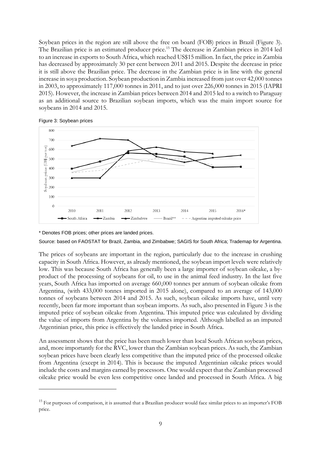Soybean prices in the region are still above the free on board (FOB) prices in Brazil (Figure 3). The Brazilian price is an estimated producer price.<sup>15</sup> The decrease in Zambian prices in 2014 led to an increase in exports to South Africa, which reached US\$15 million. In fact, the price in Zambia has decreased by approximately 30 per cent between 2011 and 2015. Despite the decrease in price it is still above the Brazilian price. The decrease in the Zambian price is in line with the general increase in soya production. Soybean production in Zambia increased from just over 42,000 tonnes in 2003, to approximately 117,000 tonnes in 2011, and to just over 226,000 tonnes in 2015 (IAPRI 2015). However, the increase in Zambian prices between 2014 and 2015 led to a switch to Paraguay as an additional source to Brazilian soybean imports, which was the main import source for soybeans in 2014 and 2015.





<u>.</u>

\* Denotes FOB prices; other prices are landed prices.

Source: based on FAOSTAT for Brazil, Zambia, and Zimbabwe; SAGIS for South Africa; Trademap for Argentina.

The prices of soybeans are important in the region, particularly due to the increase in crushing capacity in South Africa. However, as already mentioned, the soybean import levels were relatively low. This was because South Africa has generally been a large importer of soybean oilcake, a byproduct of the processing of soybeans for oil, to use in the animal feed industry. In the last five years, South Africa has imported on average 660,000 tonnes per annum of soybean oilcake from Argentina, (with 433,000 tonnes imported in 2015 alone), compared to an average of 143,000 tonnes of soybeans between 2014 and 2015. As such, soybean oilcake imports have, until very recently, been far more important than soybean imports. As such, also presented in Figure 3 is the imputed price of soybean oilcake from Argentina. This imputed price was calculated by dividing the value of imports from Argentina by the volumes imported. Although labelled as an imputed Argentinian price, this price is effectively the landed price in South Africa.

An assessment shows that the price has been much lower than local South African soybean prices, and, more importantly for the RVC, lower than the Zambian soybean prices. As such, the Zambian soybean prices have been clearly less competitive than the imputed price of the processed oilcake from Argentina (except in 2014). This is because the imputed Argentinian oilcake prices would include the costs and margins earned by processors. One would expect that the Zambian processed oilcake price would be even less competitive once landed and processed in South Africa. A big

<sup>&</sup>lt;sup>15</sup> For purposes of comparison, it is assumed that a Brazilian producer would face similar prices to an importer's FOB price.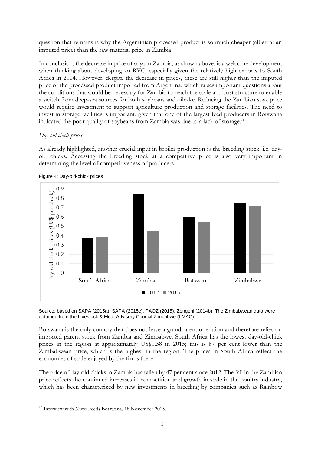question that remains is why the Argentinian processed product is so much cheaper (albeit at an imputed price) than the raw material price in Zambia.

In conclusion, the decrease in price of soya in Zambia, as shown above, is a welcome development when thinking about developing an RVC, especially given the relatively high exports to South Africa in 2014. However, despite the decrease in prices, these are still higher than the imputed price of the processed product imported from Argentina, which raises important questions about the conditions that would be necessary for Zambia to reach the scale and cost structure to enable a switch from deep-sea sources for both soybeans and oilcake. Reducing the Zambian soya price would require investment to support agriculture production and storage facilities. The need to invest in storage facilities is important, given that one of the largest feed producers in Botswana indicated the poor quality of soybeans from Zambia was due to a lack of storage. 16

# *Day-old-chick prices*

As already highlighted, another crucial input in broiler production is the breeding stock, i.e. dayold chicks. Accessing the breeding stock at a competitive price is also very important in determining the level of competitiveness of producers.



### Figure 4: Day-old-chick prices

Source: based on SAPA (2015a), SAPA (2015c), PAOZ (2015), Zengeni (2014b). The Zimbabwean data were obtained from the Livestock & Meat Advisory Council Zimbabwe (LMAC).

Botswana is the only country that does not have a grandparent operation and therefore relies on imported parent stock from Zambia and Zimbabwe. South Africa has the lowest day-old-chick prices in the region at approximately US\$0.38 in 2015; this is 87 per cent lower than the Zimbabwean price, which is the highest in the region. The prices in South Africa reflect the economies of scale enjoyed by the firms there.

The price of day-old chicks in Zambia has fallen by 47 per cent since 2012. The fall in the Zambian price reflects the continued increases in competition and growth in scale in the poultry industry, which has been characterized by new investments in breeding by companies such as Rainbow

<sup>&</sup>lt;sup>16</sup> Interview with Nutri Feeds Botswana, 18 November 2015.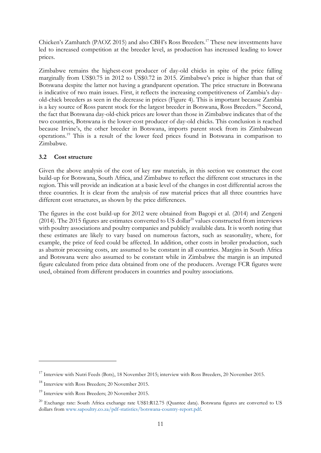Chicken's Zamhatch (PAOZ 2015) and also CBH's Ross Breeders.<sup>17</sup> These new investments have led to increased competition at the breeder level, as production has increased leading to lower prices.

Zimbabwe remains the highest-cost producer of day-old chicks in spite of the price falling marginally from US\$0.75 in 2012 to US\$0.72 in 2015. Zimbabwe's price is higher than that of Botswana despite the latter not having a grandparent operation. The price structure in Botswana is indicative of two main issues. First, it reflects the increasing competitiveness of Zambia's dayold-chick breeders as seen in the decrease in prices (Figure 4). This is important because Zambia is a key source of Ross parent stock for the largest breeder in Botswana, Ross Breeders.<sup>18</sup> Second, the fact that Botswana day-old-chick prices are lower than those in Zimbabwe indicates that of the two countries, Botswana is the lower-cost producer of day-old chicks. This conclusion is reached because Irvine's, the other breeder in Botswana, imports parent stock from its Zimbabwean operations.<sup>19</sup> This is a result of the lower feed prices found in Botswana in comparison to Zimbabwe.

# **3.2 Cost structure**

Given the above analysis of the cost of key raw materials, in this section we construct the cost build-up for Botswana, South Africa, and Zimbabwe to reflect the different cost structures in the region. This will provide an indication at a basic level of the changes in cost differential across the three countries. It is clear from the analysis of raw material prices that all three countries have different cost structures, as shown by the price differences.

The figures in the cost build-up for 2012 were obtained from Bagopi et al. (2014) and Zengeni (2014). The 2015 figures are estimates converted to US dollar<sup>20</sup> values constructed from interviews with poultry associations and poultry companies and publicly available data. It is worth noting that these estimates are likely to vary based on numerous factors, such as seasonality, where, for example, the price of feed could be affected. In addition, other costs in broiler production, such as abattoir processing costs, are assumed to be constant in all countries. Margins in South Africa and Botswana were also assumed to be constant while in Zimbabwe the margin is an imputed figure calculated from price data obtained from one of the producers. Average FCR figures were used, obtained from different producers in countries and poultry associations.

<sup>&</sup>lt;sup>17</sup> Interview with Nutri Feeds (Bots), 18 November 2015; interview with Ross Breeders, 20 November 2015.

<sup>18</sup> Interview with Ross Breeders; 20 November 2015.

<sup>&</sup>lt;sup>19</sup> Interview with Ross Breeders; 20 November 2015.

<sup>&</sup>lt;sup>20</sup> Exchange rate: South Africa exchange rate US\$1:R12.75 (Quantec data). Botswana figures are converted to US dollars from [www.sapoultry.co.za/pdf-statistics/botswana-country-report.pdf.](http://www.sapoultry.co.za/pdf-statistics/botswana-country-report.pdf)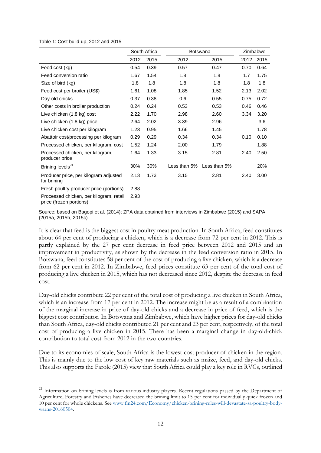#### Table 1: Cost build-up, 2012 and 2015

<u>.</u>

|                                                                    | South Africa |      | <b>Botswana</b> |              | Zimbabwe |      |
|--------------------------------------------------------------------|--------------|------|-----------------|--------------|----------|------|
|                                                                    | 2012         | 2015 | 2012            | 2015         | 2012     | 2015 |
| Feed cost (kg)                                                     | 0.54         | 0.39 | 0.57            | 0.47         | 0.70     | 0.64 |
| Feed conversion ratio                                              | 1.67         | 1.54 | 1.8             | 1.8          | 1.7      | 1.75 |
| Size of bird (kg)                                                  | 1.8          | 1.8  | 1.8             | 1.8          | 1.8      | 1.8  |
| Feed cost per broiler (US\$)                                       | 1.61         | 1.08 | 1.85            | 1.52         | 2.13     | 2.02 |
| Day-old chicks                                                     | 0.37         | 0.38 | 0.6             | 0.55         | 0.75     | 0.72 |
| Other costs in broiler production                                  | 0.24         | 0.24 | 0.53            | 0.53         | 0.46     | 0.46 |
| Live chicken (1.8 kg) cost                                         | 2.22         | 1.70 | 2.98            | 2.60         | 3.34     | 3.20 |
| Live chicken (1.8 kg) price                                        | 2.64         | 2.02 | 3.39            | 2.96         |          | 3.6  |
| Live chicken cost per kilogram                                     | 1.23         | 0.95 | 1.66            | 1.45         |          | 1.78 |
| Abattoir cost/processing per kilogram                              | 0.29         | 0.29 | 0.34            | 0.34         | 0.10     | 0.10 |
| Processed chicken, per kilogram, cost                              | 1.52         | 1.24 | 2.00            | 1.79         |          | 1.88 |
| Processed chicken, per kilogram,<br>producer price                 | 1.64         | 1.33 | 3.15            | 2.81         | 2.40     | 2.50 |
| Brining levels $^{21}$                                             | 30%          | 30%  | Less than 5%    | Less than 5% |          | 20%  |
| Producer price, per kilogram adjusted<br>for brining               | 2.13         | 1.73 | 3.15            | 2.81         | 2.40     | 3.00 |
| Fresh poultry producer price (portions)                            | 2.88         |      |                 |              |          |      |
| Processed chicken, per kilogram, retail<br>price (frozen portions) | 2.93         |      |                 |              |          |      |

Source: based on Bagopi et al. (2014); ZPA data obtained from interviews in Zimbabwe (2015) and SAPA (2015a, 2015b, 2015c).

It is clear that feed is the biggest cost in poultry meat production. In South Africa, feed constitutes about 64 per cent of producing a chicken, which is a decrease from 72 per cent in 2012. This is partly explained by the 27 per cent decrease in feed price between 2012 and 2015 and an improvement in productivity, as shown by the decrease in the feed conversion ratio in 2015. In Botswana, feed constitutes 58 per cent of the cost of producing a live chicken, which is a decrease from 62 per cent in 2012. In Zimbabwe, feed prices constitute 63 per cent of the total cost of producing a live chicken in 2015, which has not decreased since 2012, despite the decrease in feed cost.

Day-old chicks contribute 22 per cent of the total cost of producing a live chicken in South Africa, which is an increase from 17 per cent in 2012. The increase might be as a result of a combination of the marginal increase in price of day-old chicks and a decrease in price of feed, which is the biggest cost contributor. In Botswana and Zimbabwe, which have higher prices for day-old chicks than South Africa, day-old chicks contributed 21 per cent and 23 per cent, respectively, of the total cost of producing a live chicken in 2015. There has been a marginal change in day-old-chick contribution to total cost from 2012 in the two countries.

Due to its economies of scale, South Africa is the lowest-cost producer of chicken in the region. This is mainly due to the low cost of key raw materials such as maize, feed, and day-old chicks. This also supports the Farole (2015) view that South Africa could play a key role in RVCs, outlined

<sup>&</sup>lt;sup>21</sup> Information on brining levels is from various industry players. Recent regulations passed by the Department of Agriculture, Forestry and Fisheries have decreased the brining limit to 15 per cent for individually quick frozen and 10 per cent for whole chickens. Se[e www.fin24.com/Economy/chicken-brining-rules-will-devastate-sa-poultry-body](http://www.fin24.com/Economy/chicken-brining-rules-will-devastate-sa-poultry-body-warns-20160504)[warns-20160504.](http://www.fin24.com/Economy/chicken-brining-rules-will-devastate-sa-poultry-body-warns-20160504)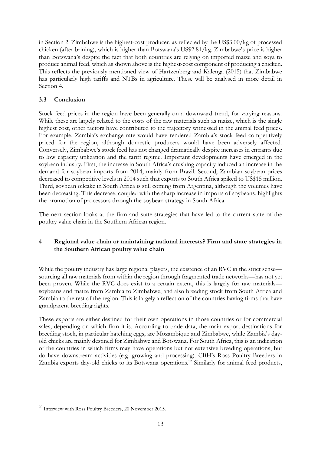in Section 2. Zimbabwe is the highest-cost producer, as reflected by the US\$3.00/kg of processed chicken (after brining), which is higher than Botswana's US\$2.81/kg. Zimbabwe's price is higher than Botswana's despite the fact that both countries are relying on imported maize and soya to produce animal feed, which as shown above is the highest-cost component of producing a chicken. This reflects the previously mentioned view of Hartzenberg and Kalenga (2015) that Zimbabwe has particularly high tariffs and NTBs in agriculture. These will be analysed in more detail in Section 4.

# **3.3 Conclusion**

Stock feed prices in the region have been generally on a downward trend, for varying reasons. While these are largely related to the costs of the raw materials such as maize, which is the single highest cost, other factors have contributed to the trajectory witnessed in the animal feed prices. For example, Zambia's exchange rate would have rendered Zambia's stock feed competitively priced for the region, although domestic producers would have been adversely affected. Conversely, Zimbabwe's stock feed has not changed dramatically despite increases in entrants due to low capacity utilization and the tariff regime. Important developments have emerged in the soybean industry. First, the increase in South Africa's crushing capacity induced an increase in the demand for soybean imports from 2014, mainly from Brazil. Second, Zambian soybean prices decreased to competitive levels in 2014 such that exports to South Africa spiked to US\$15 million. Third, soybean oilcake in South Africa is still coming from Argentina, although the volumes have been decreasing. This decrease, coupled with the sharp increase in imports of soybeans, highlights the promotion of processors through the soybean strategy in South Africa.

The next section looks at the firm and state strategies that have led to the current state of the poultry value chain in the Southern African region.

# **4 Regional value chain or maintaining national interests? Firm and state strategies in the Southern African poultry value chain**

While the poultry industry has large regional players, the existence of an RVC in the strict sense sourcing all raw materials from within the region through fragmented trade networks—has not yet been proven. While the RVC does exist to a certain extent, this is largely for raw materials soybeans and maize from Zambia to Zimbabwe, and also breeding stock from South Africa and Zambia to the rest of the region. This is largely a reflection of the countries having firms that have grandparent breeding rights.

These exports are either destined for their own operations in those countries or for commercial sales, depending on which firm it is. According to trade data, the main export destinations for breeding stock, in particular hatching eggs, are Mozambique and Zimbabwe, while Zambia's dayold chicks are mainly destined for Zimbabwe and Botswana. For South Africa, this is an indication of the countries in which firms may have operations but not extensive breeding operations, but do have downstream activities (e.g. growing and processing). CBH's Ross Poultry Breeders in Zambia exports day-old chicks to its Botswana operations.<sup>22</sup> Similarly for animal feed products,

<sup>&</sup>lt;sup>22</sup> Interview with Ross Poultry Breeders, 20 November 2015.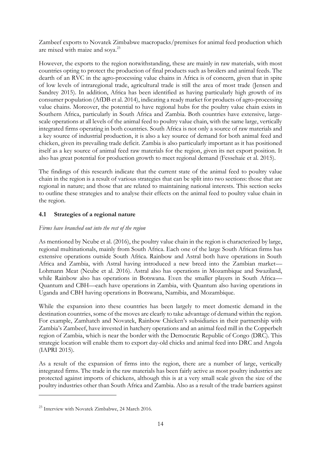Zambeef exports to Novatek Zimbabwe macropacks/premixes for animal feed production which are mixed with maize and soya.<sup>23</sup>

However, the exports to the region notwithstanding, these are mainly in raw materials, with most countries opting to protect the production of final products such as broilers and animal feeds. The dearth of an RVC in the agro-processing value chains in Africa is of concern, given that in spite of low levels of intraregional trade, agricultural trade is still the area of most trade (Jensen and Sandrey 2015). In addition, Africa has been identified as having particularly high growth of its consumer population (AfDB et al. 2014), indicating a ready market for products of agro-processing value chains. Moreover, the potential to have regional hubs for the poultry value chain exists in Southern Africa, particularly in South Africa and Zambia. Both countries have extensive, largescale operations at all levels of the animal feed to poultry value chain, with the same large, vertically integrated firms operating in both countries. South Africa is not only a source of raw materials and a key source of industrial production, it is also a key source of demand for both animal feed and chicken, given its prevailing trade deficit. Zambia is also particularly important as it has positioned itself as a key source of animal feed raw materials for the region, given its net export position. It also has great potential for production growth to meet regional demand (Fessehaie et al. 2015).

The findings of this research indicate that the current state of the animal feed to poultry value chain in the region is a result of various strategies that can be split into two sections: those that are regional in nature; and those that are related to maintaining national interests. This section seeks to outline these strategies and to analyse their effects on the animal feed to poultry value chain in the region.

# **4.1 Strategies of a regional nature**

# *Firms have branched out into the rest of the region*

As mentioned by Ncube et al. (2016), the poultry value chain in the region is characterized by large, regional multinationals, mainly from South Africa. Each one of the large South African firms has extensive operations outside South Africa. Rainbow and Astral both have operations in South Africa and Zambia, with Astral having introduced a new breed into the Zambian market— Lohmann Meat (Ncube et al. 2016). Astral also has operations in Mozambique and Swaziland, while Rainbow also has operations in Botswana. Even the smaller players in South Africa— Quantum and CBH—each have operations in Zambia, with Quantum also having operations in Uganda and CBH having operations in Botswana, Namibia, and Mozambique.

While the expansion into these countries has been largely to meet domestic demand in the destination countries, some of the moves are clearly to take advantage of demand within the region. For example, Zamhatch and Novatek, Rainbow Chicken's subsidiaries in their partnership with Zambia's Zambeef, have invested in hatchery operations and an animal feed mill in the Copperbelt region of Zambia, which is near the border with the Democratic Republic of Congo (DRC). This strategic location will enable them to export day-old chicks and animal feed into DRC and Angola (IAPRI 2015).

As a result of the expansion of firms into the region, there are a number of large, vertically integrated firms. The trade in the raw materials has been fairly active as most poultry industries are protected against imports of chickens, although this is at a very small scale given the size of the poultry industries other than South Africa and Zambia. Also as a result of the trade barriers against

<sup>&</sup>lt;sup>23</sup> Interview with Novatek Zimbabwe, 24 March 2016.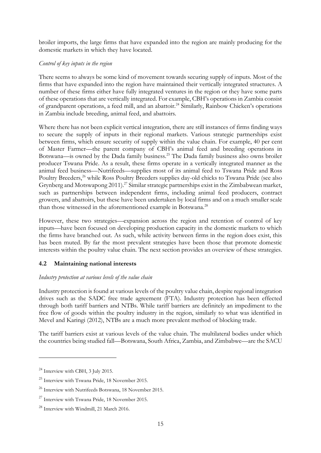broiler imports, the large firms that have expanded into the region are mainly producing for the domestic markets in which they have located.

# *Control of key inputs in the region*

There seems to always be some kind of movement towards securing supply of inputs. Most of the firms that have expanded into the region have maintained their vertically integrated structures. A number of these firms either have fully integrated ventures in the region or they have some parts of these operations that are vertically integrated. For example, CBH's operations in Zambia consist of grandparent operations, a feed mill, and an abattoir.<sup>24</sup> Similarly, Rainbow Chicken's operations in Zambia include breeding, animal feed, and abattoirs.

Where there has not been explicit vertical integration, there are still instances of firms finding ways to secure the supply of inputs in their regional markets. Various strategic partnerships exist between firms, which ensure security of supply within the value chain. For example, 40 per cent of Master Farmer—the parent company of CBH's animal feed and breeding operations in Botswana—is owned by the Dada family business.<sup>25</sup> The Dada family business also owns broiler producer Tswana Pride. As a result, these firms operate in a vertically integrated manner as the animal feed business—Nutrifeeds—supplies most of its animal feed to Tswana Pride and Ross Poultry Breeders, <sup>26</sup> while Ross Poultry Breeders supplies day-old chicks to Tswana Pride (see also Grynberg and Motswapong 2011). <sup>27</sup> Similar strategic partnerships exist in the Zimbabwean market, such as partnerships between independent firms, including animal feed producers, contract growers, and abattoirs, but these have been undertaken by local firms and on a much smaller scale than those witnessed in the aforementioned example in Botswana.<sup>28</sup>

However, these two strategies—expansion across the region and retention of control of key inputs—have been focused on developing production capacity in the domestic markets to which the firms have branched out. As such, while activity between firms in the region does exist, this has been muted. By far the most prevalent strategies have been those that promote domestic interests within the poultry value chain. The next section provides an overview of these strategies.

# **4.2 Maintaining national interests**

# *Industry protection at various levels of the value chain*

Industry protection is found at various levels of the poultry value chain, despite regional integration drives such as the SADC free trade agreement (FTA). Industry protection has been effected through both tariff barriers and NTBs. While tariff barriers are definitely an impediment to the free flow of goods within the poultry industry in the region, similarly to what was identified in Mevel and Karingi (2012), NTBs are a much more prevalent method of blocking trade.

The tariff barriers exist at various levels of the value chain. The multilateral bodies under which the countries being studied fall—Botswana, South Africa, Zambia, and Zimbabwe—are the SACU

-

<sup>&</sup>lt;sup>24</sup> Interview with CBH, 3 July 2015.

<sup>25</sup> Interview with Tswana Pride, 18 November 2015.

<sup>&</sup>lt;sup>26</sup> Interview with Nutrifeeds Botswana, 18 November 2015.

 $27$  Interview with Tswana Pride, 18 November 2015.

<sup>&</sup>lt;sup>28</sup> Interview with Windmill, 21 March 2016.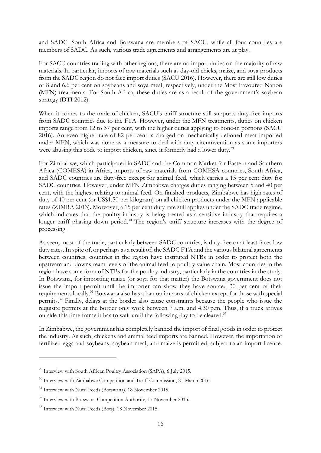and SADC. South Africa and Botswana are members of SACU, while all four countries are members of SADC. As such, various trade agreements and arrangements are at play.

For SACU countries trading with other regions, there are no import duties on the majority of raw materials. In particular, imports of raw materials such as day-old chicks, maize, and soya products from the SADC region do not face import duties (SACU 2016). However, there are still low duties of 8 and 6.6 per cent on soybeans and soya meal, respectively, under the Most Favoured Nation (MFN) treatments. For South Africa, these duties are as a result of the government's soybean strategy (DTI 2012).

When it comes to the trade of chicken, SACU's tariff structure still supports duty-free imports from SADC countries due to the FTA. However, under the MFN treatments, duties on chicken imports range from 12 to 37 per cent, with the higher duties applying to bone-in portions (SACU 2016). An even higher rate of 82 per cent is charged on mechanically deboned meat imported under MFN, which was done as a measure to deal with duty circumvention as some importers were abusing this code to import chicken, since it formerly had a lower duty.<sup>29</sup>

For Zimbabwe, which participated in SADC and the Common Market for Eastern and Southern Africa (COMESA) in Africa, imports of raw materials from COMESA countries, South Africa, and SADC countries are duty-free except for animal feed, which carries a 15 per cent duty for SADC countries. However, under MFN Zimbabwe charges duties ranging between 5 and 40 per cent, with the highest relating to animal feed. On finished products, Zimbabwe has high rates of duty of 40 per cent (or US\$1.50 per kilogram) on all chicken products under the MFN applicable rates (ZIMRA 2013). Moreover, a 15 per cent duty rate still applies under the SADC trade regime, which indicates that the poultry industry is being treated as a sensitive industry that requires a longer tariff phasing down period.<sup>30</sup> The region's tariff structure increases with the degree of processing.

As seen, most of the trade, particularly between SADC countries, is duty-free or at least faces low duty rates. In spite of, or perhaps as a result of, the SADC FTA and the various bilateral agreements between countries, countries in the region have instituted NTBs in order to protect both the upstream and downstream levels of the animal feed to poultry value chain. Most countries in the region have some form of NTBs for the poultry industry, particularly in the countries in the study. In Botswana, for importing maize (or soya for that matter) the Botswana government does not issue the import permit until the importer can show they have sourced 30 per cent of their requirements locally.<sup>31</sup> Botswana also has a ban on imports of chicken except for those with special permits.<sup>32</sup> Finally, delays at the border also cause constraints because the people who issue the requisite permits at the border only work between 7 a.m. and 4.30 p.m. Thus, if a truck arrives outside this time frame it has to wait until the following day to be cleared.<sup>33</sup>

In Zimbabwe, the government has completely banned the import of final goods in order to protect the industry. As such, chickens and animal feed imports are banned. However, the importation of fertilized eggs and soybeans, soybean meal, and maize is permitted, subject to an import licence.

-

<sup>&</sup>lt;sup>29</sup> Interview with South African Poultry Association (SAPA), 6 July 2015.

<sup>&</sup>lt;sup>30</sup> Interview with Zimbabwe Competition and Tariff Commission, 21 March 2016.

<sup>31</sup> Interview with Nutri Feeds (Botswana), 18 November 2015.

<sup>&</sup>lt;sup>32</sup> Interview with Botswana Competition Authority, 17 November 2015.

<sup>33</sup> Interview with Nutri Feeds (Bots), 18 November 2015.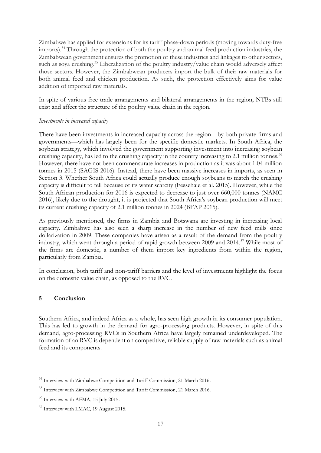Zimbabwe has applied for extensions for its tariff phase-down periods (moving towards duty-free imports).<sup>34</sup> Through the protection of both the poultry and animal feed production industries, the Zimbabwean government ensures the promotion of these industries and linkages to other sectors, such as soya crushing.<sup>35</sup> Liberalization of the poultry industry/value chain would adversely affect those sectors. However, the Zimbabwean producers import the bulk of their raw materials for both animal feed and chicken production. As such, the protection effectively aims for value addition of imported raw materials.

In spite of various free trade arrangements and bilateral arrangements in the region, NTBs still exist and affect the structure of the poultry value chain in the region.

# *Investments in increased capacity*

There have been investments in increased capacity across the region—by both private firms and governments—which has largely been for the specific domestic markets. In South Africa, the soybean strategy, which involved the government supporting investment into increasing soybean crushing capacity, has led to the crushing capacity in the country increasing to 2.1 million tonnes.<sup>36</sup> However, there have not been commensurate increases in production as it was about 1.04 million tonnes in 2015 (SAGIS 2016). Instead, there have been massive increases in imports, as seen in Section 3. Whether South Africa could actually produce enough soybeans to match the crushing capacity is difficult to tell because of its water scarcity (Fessehaie et al. 2015). However, while the South African production for 2016 is expected to decrease to just over 660,000 tonnes (NAMC 2016), likely due to the drought, it is projected that South Africa's soybean production will meet its current crushing capacity of 2.1 million tonnes in 2024 (BFAP 2015).

As previously mentioned, the firms in Zambia and Botswana are investing in increasing local capacity. Zimbabwe has also seen a sharp increase in the number of new feed mills since dollarization in 2009. These companies have arisen as a result of the demand from the poultry industry, which went through a period of rapid growth between 2009 and 2014.<sup>37</sup> While most of the firms are domestic, a number of them import key ingredients from within the region, particularly from Zambia.

In conclusion, both tariff and non-tariff barriers and the level of investments highlight the focus on the domestic value chain, as opposed to the RVC.

# **5 Conclusion**

<u>.</u>

Southern Africa, and indeed Africa as a whole, has seen high growth in its consumer population. This has led to growth in the demand for agro-processing products. However, in spite of this demand, agro-processing RVCs in Southern Africa have largely remained underdeveloped. The formation of an RVC is dependent on competitive, reliable supply of raw materials such as animal feed and its components.

<sup>&</sup>lt;sup>34</sup> Interview with Zimbabwe Competition and Tariff Commission, 21 March 2016.

<sup>35</sup> Interview with Zimbabwe Competition and Tariff Commission, 21 March 2016.

<sup>36</sup> Interview with AFMA, 15 July 2015.

<sup>&</sup>lt;sup>37</sup> Interview with LMAC, 19 August 2015.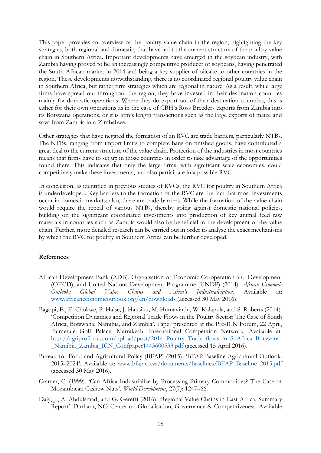This paper provides an overview of the poultry value chain in the region, highlighting the key strategies, both regional and domestic, that have led to the current structure of the poultry value chain in Southern Africa. Important developments have emerged in the soybean industry, with Zambia having proved to be an increasingly competitive producer of soybeans, having penetrated the South African market in 2014 and being a key supplier of oilcake to other countries in the region. These developments notwithstanding, there is no coordinated regional poultry value chain in Southern Africa, but rather firm strategies which are regional in nature. As a result, while large firms have spread out throughout the region, they have invested in their destination countries mainly for domestic operations. Where they do export out of their destination countries, this is either for their own operations as in the case of CBH's Ross Breeders exports from Zambia into its Botswana operations, or it is arm's length transactions such as the large exports of maize and soya from Zambia into Zimbabwe.

Other strategies that have negated the formation of an RVC are trade barriers, particularly NTBs. The NTBs, ranging from import limits to complete bans on finished goods, have contributed a great deal to the current structure of the value chain. Protection of the industries in most countries means that firms have to set up in those countries in order to take advantage of the opportunities found there. This indicates that only the large firms, with significant scale economies, could competitively make these investments, and also participate in a possible RVC.

In conclusion, as identified in previous studies of RVCs, the RVC for poultry in Southern Africa is underdeveloped. Key barriers to the formation of the RVC are the fact that most investments occur in domestic markets; also, there are trade barriers. While the formation of the value chain would require the repeal of various NTBs, thereby going against domestic national policies, building on the significant coordinated investments into production of key animal feed raw materials in countries such as Zambia would also be beneficial to the development of the value chain. Further, more detailed research can be carried out in order to analyse the exact mechanisms by which the RVC for poultry in Southern Africa can be further developed.

# **References**

- African Development Bank (ADB), Organisation of Economic Co-operation and Development (OECD), and United Nations Development Programme (UNDP) (2014). *African Economic Outlook: Global Value Chains and Africa's Industrialization*. Available at: [www.africaneconomicoutlook.org/en/downloads](http://www.africaneconomicoutlook.org/en/downloads) (accessed 30 May 2016).
- Bagopi, E., E. Chokwe, P. Halse, J. Hausiku, M. Humavindu, W. Kalapula, and S. Roberts (2014). 'Competition Dynamics and Regional Trade Flows in the Poultry Sector: The Case of South Africa, Botswana, Namibia, and Zambia'. Paper presented at the Pre-ICN Forum, 22 April, Palmeraie Golf Palace. Marrakech: International Competition Network. Available at: [http://agriprofocus.com/upload/post/2014\\_Poultry\\_Trade\\_flows\\_in\\_S\\_Africa\\_Botswana](http://agriprofocus.com/upload/post/2014_Poultry_Trade_flows_in_S_Africa_Botswana_Namibia_Zambia_ICN_Confpaper1443600533.pdf) Namibia Zambia ICN Confpaper1443600533.pdf (accessed 15 April 2016).
- Bureau for Food and Agricultural Policy (BFAP) (2015). 'BFAP Baseline Agricultural Outlook: 2015–2024'. Available at: [www.bfap.co.za/documents/baselines/BFAP\\_Baseline\\_2015.pdf](http://www.bfap.co.za/documents/baselines/BFAP_Baseline_2015.pdf) (accessed 30 May 2016).
- Cramer, C. (1999). 'Can Africa Industrialize by Processing Primary Commodities? The Case of Mozambican Cashew Nuts'. *World Development*, 27(7): 1247–66.
- Daly, J., A. Abdulsmad, and G. Gereffi (2016). 'Regional Value Chains in East Africa: Summary Report'. Durham, NC: Center on Globalisation, Governance & Competitiveness. Available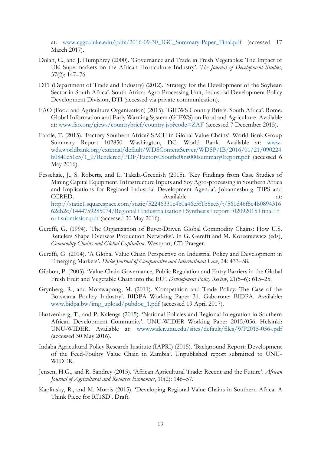at: www.cggc.duke.edu/pdfs/2016-09-30\_IGC\_Summary-Paper\_Final.pdf (accessed 17 March 2017).

- Dolan, C., and J. Humphrey (2000). 'Governance and Trade in Fresh Vegetables: The Impact of UK Supermarkets on the African Horticulture Industry'. *The Journal of Development Studies*, 37(2): 147–76
- DTI (Department of Trade and Industry) (2012). 'Strategy for the Development of the Soybean Sector in South Africa'. South Africa: Agro-Processing Unit, Industrial Development Policy Development Division, DTI (accessed via private communication).
- FAO (Food and Agriculture Organization) (2015). 'GIEWS Country Briefs: South Africa'. Rome: Global Information and Early Warning System (GIEWS) on Food and Agriculture. Available at: www.fao.org/giews/countrybrief/country.jsp?code=ZAF (accessed 7 December 2015).
- Farole, T. (2015). 'Factory Southern Africa? SACU in Global Value Chains'. World Bank Group Summary Report 102850. Washington, DC: World Bank. Available at: [www](http://www-wds.worldbank.org/external/default/WDSContentServer/WDSP/IB/2016/01/21/090224b0840e51c5/1_0/Rendered/PDF/Factory0Southe0ins000summary0report.pdf)[wds.worldbank.org/external/default/WDSContentServer/WDSP/IB/2016/01/21/090224](http://www-wds.worldbank.org/external/default/WDSContentServer/WDSP/IB/2016/01/21/090224b0840e51c5/1_0/Rendered/PDF/Factory0Southe0ins000summary0report.pdf) [b0840e51c5/1\\_0/Rendered/PDF/Factory0Southe0ins000summary0report.pdf](http://www-wds.worldbank.org/external/default/WDSContentServer/WDSP/IB/2016/01/21/090224b0840e51c5/1_0/Rendered/PDF/Factory0Southe0ins000summary0report.pdf) (accessed 6 May 2016).
- Fessehaie, J., S. Roberts, and L. Takala-Greenish (2015). 'Key Findings from Case Studies of Mining Capital Equipment, Infrastructure Inputs and Soy Agro-processing in Southern Africa and Implications for Regional Industrial Development Agenda'. Johannesburg: TIPS and CCRED. Available at: [http://static1.squarespace.com/static/52246331e4b0a46e5f1b8ce5/t/561d46f5e4b0894316](http://static1.squarespace.com/static/52246331e4b0a46e5f1b8ce5/t/561d46f5e4b089431662eb2c/1444759285074/Regional+Industrialization+Synthesis+report+02092015+final+for+submission.pdf) [62eb2c/1444759285074/Regional+Industrialization+Synthesis+report+02092015+final+f](http://static1.squarespace.com/static/52246331e4b0a46e5f1b8ce5/t/561d46f5e4b089431662eb2c/1444759285074/Regional+Industrialization+Synthesis+report+02092015+final+for+submission.pdf) [or+submission.pdf](http://static1.squarespace.com/static/52246331e4b0a46e5f1b8ce5/t/561d46f5e4b089431662eb2c/1444759285074/Regional+Industrialization+Synthesis+report+02092015+final+for+submission.pdf) (accessed 30 May 2016).
- Gereffi, G. (1994). 'The Organization of Buyer-Driven Global Commodity Chains: How U.S. Retailers Shape Overseas Production Networks'. In G. Gereffi and M. Korzeniewicz (eds), *Commodity Chains and Global Capitalism*. Westport, CT: Praeger.
- Gereffi, G. (2014). 'A Global Value Chain Perspective on Industrial Policy and Development in Emerging Markets'. *Duke Journal of Comparative and International Law*, 24: 433–58.
- Gibbon, P. (2003). 'Value-Chain Governance, Public Regulation and Entry Barriers in the Global Fresh Fruit and Vegetable Chain into the EU'. *Development Policy Review*, 21(5–6): 615–25.
- Grynberg, R., and Motswapong, M. (2011). 'Competition and Trade Policy: The Case of the Botswana Poultry Industry'. BIDPA Working Paper 31. Gaborone: BIDPA. Available: [www.bidpa.bw/img\\_upload/pubdoc\\_1.pdf](http://www.bidpa.bw/img_upload/pubdoc_1.pdf) (accessed 19 April 2017).
- Hartzenberg, T., and P. Kalenga (2015). 'National Policies and Regional Integration in Southern African Development Community'. UNU-WIDER Working Paper 2015/056. Helsinki: UNU-WIDER. Available at: [www.wider.unu.edu/sites/default/files/WP2015-056-.pdf](https://www.wider.unu.edu/sites/default/files/WP2015-056-.pdf) (accessed 30 May 2016).
- Indaba Agricultural Policy Research Institute (IAPRI) (2015). 'Background Report: Development of the Feed-Poultry Value Chain in Zambia'. Unpublished report submitted to UNU-WIDER.
- Jensen, H.G., and R. Sandrey (2015). 'African Agricultural Trade: Recent and the Future'. *African Journal of Agricultural and Resource Economics*, 10(2): 146–57.
- Kaplinsky, R., and M. Morris (2015). 'Developing Regional Value Chains in Southern Africa: A Think Piece for ICTSD'. Draft.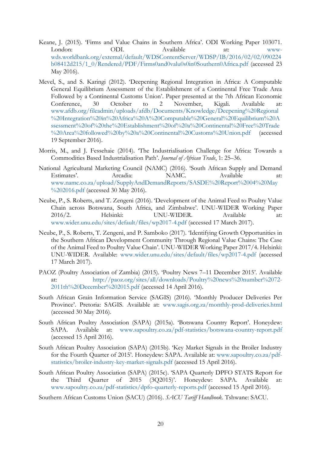- Keane, J. (2015). 'Firms and Value Chains in Southern Africa'. ODI Working Paper 103071. London: ODI. Available at: [www](http://www-wds.worldbank.org/external/default/WDSContentServer/WDSP/IB/2016/02/02/090224b08412d215/1_0/Rendered/PDF/Firms0and0valu0s0in0Southern0Africa.pdf)[wds.worldbank.org/external/default/WDSContentServer/WDSP/IB/2016/02/02/090224](http://www-wds.worldbank.org/external/default/WDSContentServer/WDSP/IB/2016/02/02/090224b08412d215/1_0/Rendered/PDF/Firms0and0valu0s0in0Southern0Africa.pdf) [b08412d215/1\\_0/Rendered/PDF/Firms0and0valu0s0in0Southern0Africa.pdf](http://www-wds.worldbank.org/external/default/WDSContentServer/WDSP/IB/2016/02/02/090224b08412d215/1_0/Rendered/PDF/Firms0and0valu0s0in0Southern0Africa.pdf) (accessed 23 May 2016).
- Mevel, S., and S. Karingi (2012). 'Deepening Regional Integration in Africa: A Computable General Equilibrium Assessment of the Establishment of a Continental Free Trade Area Followed by a Continental Customs Union'. Paper presented at the 7th African Economic Conference, 30 October to 2 November, Kigali. Available www.afdb.org/fileadmin/uploads/afdb/Documents/Knowledge/Deepening%20Regional %20Integration%20in%20Africa%20A%20Computable%20General%20Equilibrium%20A ssessment%20of%20the%20Establishment%20of%20a%20Continental%20Free%20Trade %20Area%20followed%20by%20a%20Continental%20Customs%20Union.pdf (accessed 19 September 2016).
- Morris, M., and J. Fessehaie (2014). 'The Industrialisation Challenge for Africa: Towards a Commodities Based Industrialisation Path'. *Journal of African Trade*, 1: 25–36.
- National Agricultural Marketing Council (NAMC) (2016). 'South African Supply and Demand Estimates'. Arcadia: NAMC. Available at: [www.namc.co.za/upload/SupplyAndDemandReports/SASDE%20Report%2004%20May](http://www.namc.co.za/upload/SupplyAndDemandReports/SASDE%20Report%2004%20May%202016.pdf) [%202016.pdf](http://www.namc.co.za/upload/SupplyAndDemandReports/SASDE%20Report%2004%20May%202016.pdf) (accessed 30 May 2016).
- Ncube, P., S. Roberts, and T. Zengeni (2016). 'Development of the Animal Feed to Poultry Value Chain across Botswana, South Africa, and Zimbabwe'. UNU-WIDER Working Paper 2016/2. Helsinki: UNU-WIDER. Available at: www.wider.unu.edu/sites/default/files/wp2017-4.pdf (accessed 17 March 2017).
- Ncube, P., S. Roberts, T. Zengeni, and P. Samboko (2017). 'Identifying Growth Opportunities in the Southern African Development Community Through Regional Value Chains: The Case of the Animal Feed to Poultry Value Chain'. UNU-WIDER Working Paper 2017/4. Helsinki: UNU-WIDER. Available: [www.wider.unu.edu/sites/default/files/wp2017-4.pdf](https://www.wider.unu.edu/sites/default/files/wp2017-4.pdf) (accessed 17 March 2017).
- PAOZ (Poultry Association of Zambia) (2015). 'Poultry News 7–11 December 2015'. Available at: [http://paoz.org/sites/all/downloads/Poultry%20news%20number%2072-](http://paoz.org/sites/all/downloads/Poultry%20news%20number%2072-2011th%20December%202015.pdf) [2011th%20December%202015.pdf](http://paoz.org/sites/all/downloads/Poultry%20news%20number%2072-2011th%20December%202015.pdf) (accessed 14 April 2016).
- South African Grain Information Service (SAGIS) (2016). 'Monthly Producer Deliveries Per Province'. Pretoria: SAGIS. Available at: [www.sagis.org.za/monthly-prod-deliveries.html](http://www.sagis.org.za/monthly-prod-deliveries.html) (accessed 30 May 2016).
- South African Poultry Association (SAPA) (2015a). 'Botswana Country Report'. Honeydew: SAPA. Available at: [www.sapoultry.co.za/pdf-statistics/botswana-country-report.pdf](http://www.sapoultry.co.za/pdf-statistics/botswana-country-report.pdf) (accessed 15 April 2016).
- South African Poultry Association (SAPA) (2015b). 'Key Market Signals in the Broiler Industry for the Fourth Quarter of 2015'. Honeydew: SAPA. Available at: [www.sapoultry.co.za/pdf](http://www.sapoultry.co.za/pdf-statistics/broiler-industry-key-market-signals.pdf)[statistics/broiler-industry-key-market-signals.pdf](http://www.sapoultry.co.za/pdf-statistics/broiler-industry-key-market-signals.pdf) (accessed 15 April 2016).
- South African Poultry Association (SAPA) (2015c). 'SAPA Quarterly DPFO STATS Report for the Third Quarter of 2015 (3Q2015)'. Honeydew: SAPA. Available at: [www.sapoultry.co.za/pdf-statistics/dpfo-quarterly-reports.pdf](http://www.sapoultry.co.za/pdf-statistics/dpfo-quarterly-reports.pdf) (accessed 15 April 2016).
- Southern African Customs Union (SACU) (2016). *SACU Tariff Handbook*. Tshwane: SACU.